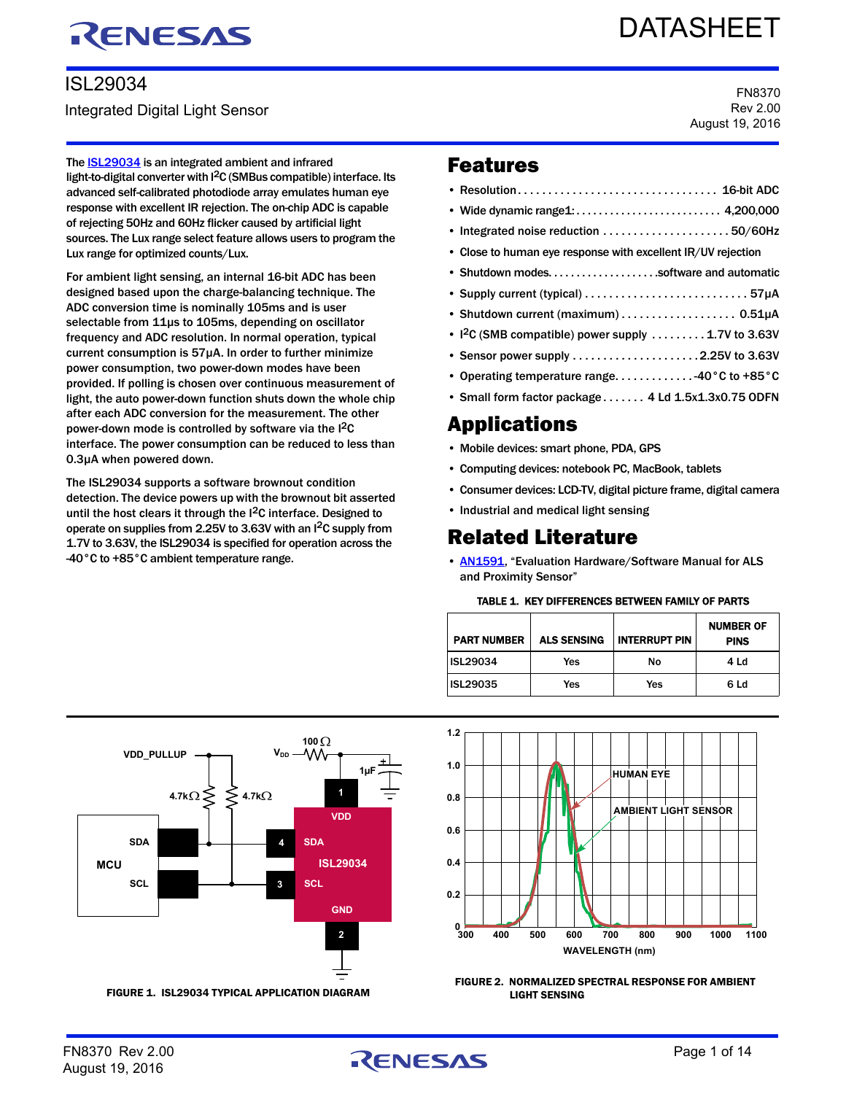# RENESAS

# ISL29034

Integrated Digital Light Sensor

# DATASHEET

FN8370 Rev 2.00 August 19, 2016

The **ISL29034** is an integrated ambient and infrared light-to-digital converter with I2C (SMBus compatible) interface. Its advanced self-calibrated photodiode array emulates human eye response with excellent IR rejection. The on-chip ADC is capable of rejecting 50Hz and 60Hz flicker caused by artificial light sources. The Lux range select feature allows users to program the Lux range for optimized counts/Lux.

For ambient light sensing, an internal 16-bit ADC has been designed based upon the charge-balancing technique. The ADC conversion time is nominally 105ms and is user selectable from 11µs to 105ms, depending on oscillator frequency and ADC resolution. In normal operation, typical current consumption is 57µA. In order to further minimize power consumption, two power-down modes have been provided. If polling is chosen over continuous measurement of light, the auto power-down function shuts down the whole chip after each ADC conversion for the measurement. The other power-down mode is controlled by software via the I2C interface. The power consumption can be reduced to less than 0.3µA when powered down.

The ISL29034 supports a software brownout condition detection. The device powers up with the brownout bit asserted until the host clears it through the  $I^2C$  interface. Designed to operate on supplies from 2.25V to 3.63V with an I2C supply from 1.7V to 3.63V, the ISL29034 is specified for operation across the -40°C to +85°C ambient temperature range.

## Features

| • Integrated noise reduction $\ldots \ldots \ldots \ldots \ldots \ldots \ldots 50/60$ Hz |
|------------------------------------------------------------------------------------------|
| • Close to human eye response with excellent IR/UV rejection                             |
| • Shutdown modessoftware and automatic                                                   |
|                                                                                          |
| • Shutdown current (maximum) 0.51µA                                                      |
| • $1^2C$ (SMB compatible) power supply  1.7V to 3.63V                                    |
|                                                                                          |
| • Operating temperature range40°C to +85°C                                               |
| • Small form factor package  4 Ld 1.5x1.3x0.75 ODFN                                      |
|                                                                                          |

# Applications

- Mobile devices: smart phone, PDA, GPS
- Computing devices: notebook PC, MacBook, tablets
- Consumer devices: LCD-TV, digital picture frame, digital camera
- Industrial and medical light sensing

# Related Literature

• **[AN1591](http://www.intersil.com/content/dam/Intersil/documents/an15/an1591.pdf)**, "Evaluation Hardware/Software Manual for ALS and Proximity Sensor"

#### TABLE 1. KEY DIFFERENCES BETWEEN FAMILY OF PARTS

<span id="page-0-1"></span>

| <b>PART NUMBER</b> | <b>ALS SENSING</b> | <b>INTERRUPT PIN</b> | <b>NUMBER OF</b><br><b>PINS</b> |
|--------------------|--------------------|----------------------|---------------------------------|
| <b>ISL29034</b>    | Yes                | No                   | 4 Ld                            |
| ISL29035           | Yes                | Yes                  | 6 Ld                            |



FIGURE 1. ISL29034 TYPICAL APPLICATION DIAGRAM



<span id="page-0-0"></span>FIGURE 2. NORMALIZED SPECTRAL RESPONSE FOR AMBIENT LIGHT SENSING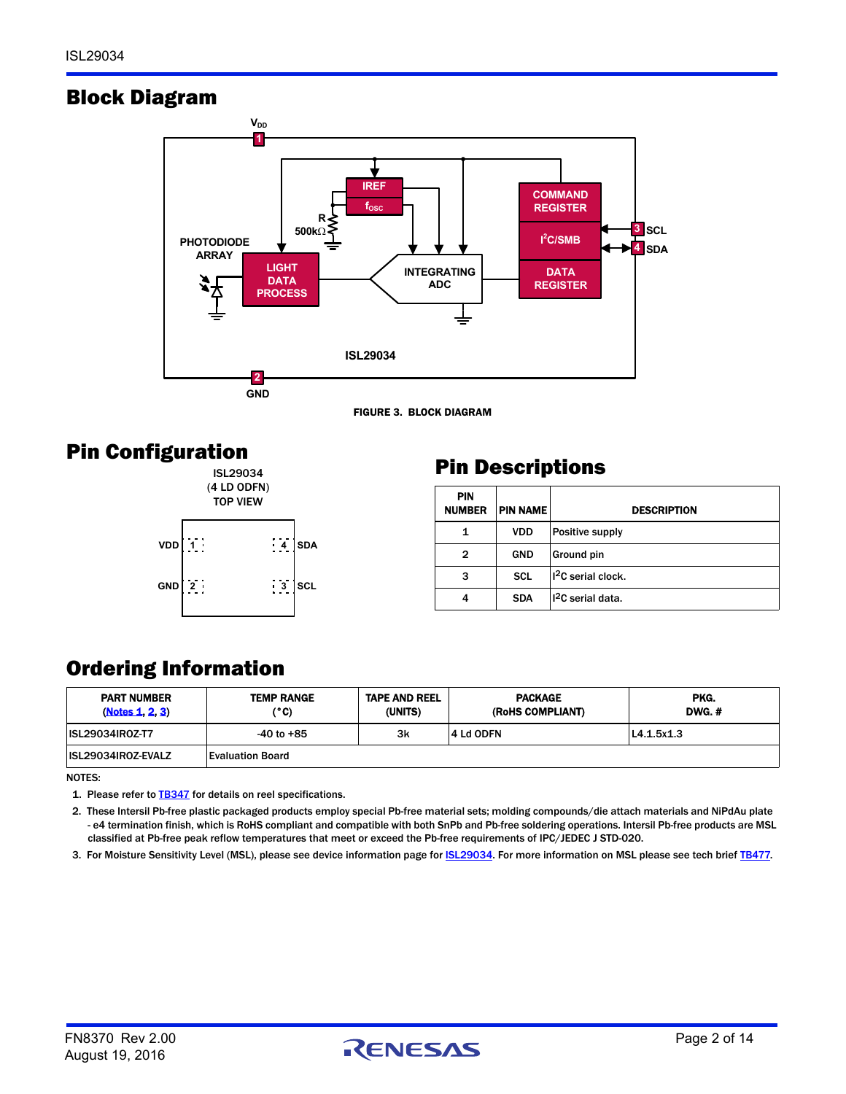# Block Diagram



FIGURE 3. BLOCK DIAGRAM

# Pin Configuration





# Pin Descriptions

| <b>PIN</b><br><b>NUMBER</b> | <b>PIN NAME</b> | <b>DESCRIPTION</b>             |
|-----------------------------|-----------------|--------------------------------|
| 1                           | <b>VDD</b>      | Positive supply                |
| 2                           | <b>GND</b>      | Ground pin                     |
| 3                           | <b>SCL</b>      | 1 <sup>2</sup> C serial clock. |
| 4                           | <b>SDA</b>      | I <sup>2</sup> C serial data.  |

# Ordering Information

| <b>PART NUMBER</b><br>(Notes 1, 2, 3) | <b>TEMP RANGE</b><br>(°C) | <b>TAPE AND REEL</b><br>(UNITS) | <b>PACKAGE</b><br>(RoHS COMPLIANT) | PKG.<br><b>DWG.#</b> |
|---------------------------------------|---------------------------|---------------------------------|------------------------------------|----------------------|
| <b>ISL29034IROZ-T7</b>                | -40 to +85                | 3k                              | 4 Ld ODFN                          | L4.1.5x1.3           |
| ISL29034IROZ-EVALZ                    | <b>Evaluation Board</b>   |                                 |                                    |                      |

NOTES:

<span id="page-1-0"></span>1. Please refer to **[TB347](http://www.intersil.com/content/dam/Intersil/documents/tb34/tb347.pdf)** for details on reel specifications.

<span id="page-1-1"></span>2. These Intersil Pb-free plastic packaged products employ special Pb-free material sets; molding compounds/die attach materials and NiPdAu plate - e4 termination finish, which is RoHS compliant and compatible with both SnPb and Pb-free soldering operations. Intersil Pb-free products are MSL classified at Pb-free peak reflow temperatures that meet or exceed the Pb-free requirements of IPC/JEDEC J STD-020.

<span id="page-1-2"></span>3. For Moisture Sensitivity Level (MSL), please see device information page for **ISL29034**. For more information on MSL please see tech brief **TB477**.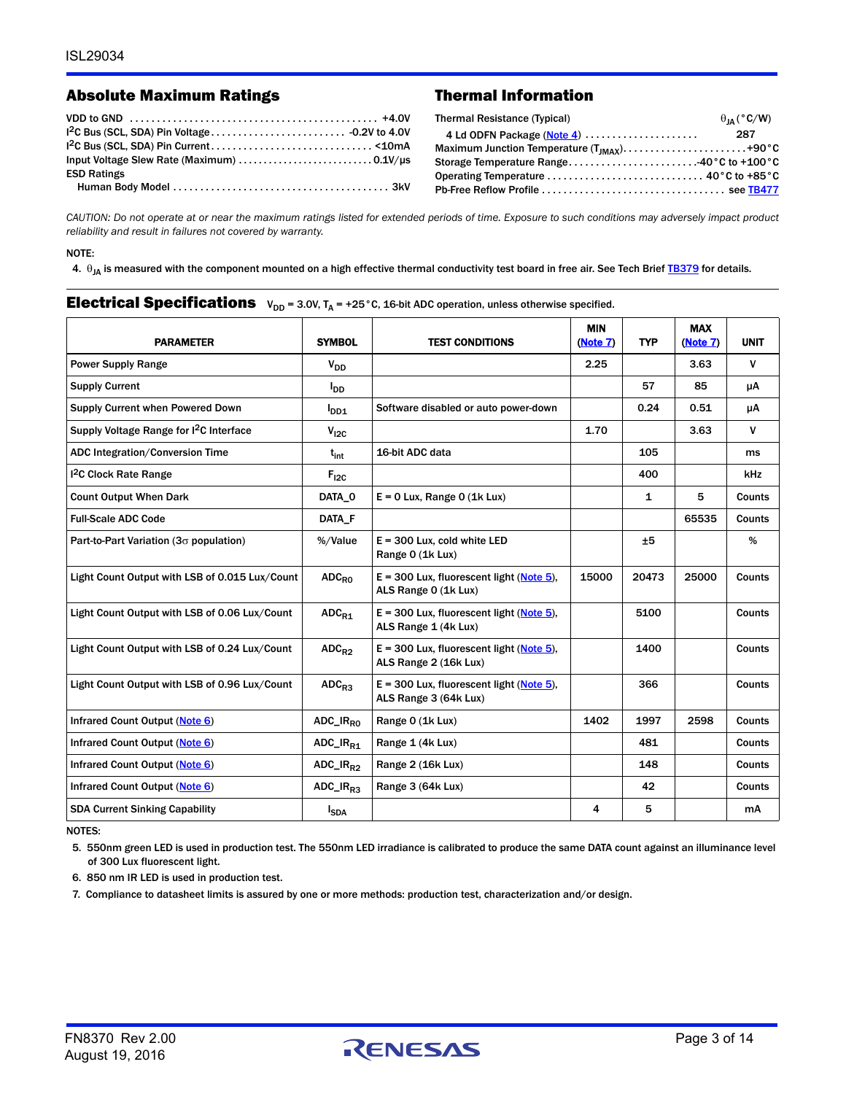## Absolute Maximum Ratings Thermal Information

| <b>ESD Ratings</b> |  |
|--------------------|--|
|                    |  |

| Thermal Resistance (Typical) | $\theta_{IA}$ (°C/W) |
|------------------------------|----------------------|
| 4 Ld ODFN Package (Note 4)   | 287                  |
|                              |                      |
|                              |                      |
|                              |                      |
|                              |                      |

*CAUTION: Do not operate at or near the maximum ratings listed for extended periods of time. Exposure to such conditions may adversely impact product reliability and result in failures not covered by warranty.*

NOTE:

<span id="page-2-2"></span>4.  $\theta_{JA}$  is measured with the component mounted on a high effective thermal conductivity test board in free air. See Tech Brief [TB379](http://www.intersil.com/content/dam/Intersil/documents/tb37/tb379.pdf) for details.

#### **Electrical Specifications**  $V_{DD} = 3.0V$ ,  $T_A = +25^\circ$ C, 16-bit ADC operation, unless otherwise specified.

| <b>PARAMETER</b>                                    | <b>SYMBOL</b>                   | <b>TEST CONDITIONS</b>                                              | <b>MIN</b><br>(Note 7) | <b>TYP</b> | <b>MAX</b><br>(Note 7) | <b>UNIT</b>   |
|-----------------------------------------------------|---------------------------------|---------------------------------------------------------------------|------------------------|------------|------------------------|---------------|
| <b>Power Supply Range</b>                           | $V_{DD}$                        |                                                                     | 2.25                   |            | 3.63                   | V             |
| <b>Supply Current</b>                               | <b>I</b> <sub>DD</sub>          |                                                                     |                        | 57         | 85                     | μA            |
| Supply Current when Powered Down                    | $I_{DD1}$                       | Software disabled or auto power-down                                |                        | 0.24       | 0.51                   | μA            |
| Supply Voltage Range for I <sup>2</sup> C Interface | $V_{12C}$                       |                                                                     | 1.70                   |            | 3.63                   | V             |
| ADC Integration/Conversion Time                     | $t_{\rm int}$                   | 16-bit ADC data                                                     |                        | 105        |                        | ms            |
| <sup>12</sup> C Clock Rate Range                    | $F_{12C}$                       |                                                                     |                        | 400        |                        | kHz           |
| <b>Count Output When Dark</b>                       | DATA 0                          | $E = 0$ Lux, Range 0 (1k Lux)                                       |                        | 1          | 5                      | Counts        |
| <b>Full-Scale ADC Code</b>                          | DATA F                          |                                                                     |                        |            | 65535                  | Counts        |
| Part-to-Part Variation ( $3\sigma$ population)      | %/Value                         | $E = 300$ Lux, cold white LED<br>Range 0 (1k Lux)                   |                        | ±5         |                        | %             |
| Light Count Output with LSB of 0.015 Lux/Count      | $ADC_{RO}$                      | $E = 300$ Lux, fluorescent light (Note 5),<br>ALS Range 0 (1k Lux)  | 15000                  | 20473      | 25000                  | Counts        |
| Light Count Output with LSB of 0.06 Lux/Count       | $ADC_{R1}$                      | $E = 300$ Lux, fluorescent light (Note 5),<br>ALS Range 1 (4k Lux)  |                        | 5100       |                        | <b>Counts</b> |
| Light Count Output with LSB of 0.24 Lux/Count       | $ADC_{R2}$                      | $E = 300$ Lux, fluorescent light (Note 5).<br>ALS Range 2 (16k Lux) |                        | 1400       |                        | <b>Counts</b> |
| Light Count Output with LSB of 0.96 Lux/Count       | $ADC_{B3}$                      | $E = 300$ Lux, fluorescent light (Note 5),<br>ALS Range 3 (64k Lux) |                        | 366        |                        | Counts        |
| Infrared Count Output (Note 6)                      | $ADC$ <sub>Reo</sub>            | Range 0 (1k Lux)                                                    | 1402                   | 1997       | 2598                   | Counts        |
| Infrared Count Output (Note 6)                      | $ADC$ <sub>R<sub>R1</sub></sub> | Range 1 (4k Lux)                                                    |                        | 481        |                        | Counts        |
| Infrared Count Output (Note 6)                      | $ADC$ <sub>R22</sub>            | Range 2 (16k Lux)                                                   |                        | 148        |                        | Counts        |
| Infrared Count Output (Note 6)                      | ADC_IR <sub>R3</sub>            | Range 3 (64k Lux)                                                   |                        | 42         |                        | Counts        |
| <b>SDA Current Sinking Capability</b>               | <b>I</b> <sub>SDA</sub>         |                                                                     | 4                      | 5          |                        | mA            |

NOTES:

<span id="page-2-0"></span>5. 550nm green LED is used in production test. The 550nm LED irradiance is calibrated to produce the same DATA count against an illuminance level of 300 Lux fluorescent light.

<span id="page-2-3"></span>6. 850 nm IR LED is used in production test.

<span id="page-2-1"></span>7. Compliance to datasheet limits is assured by one or more methods: production test, characterization and/or design.

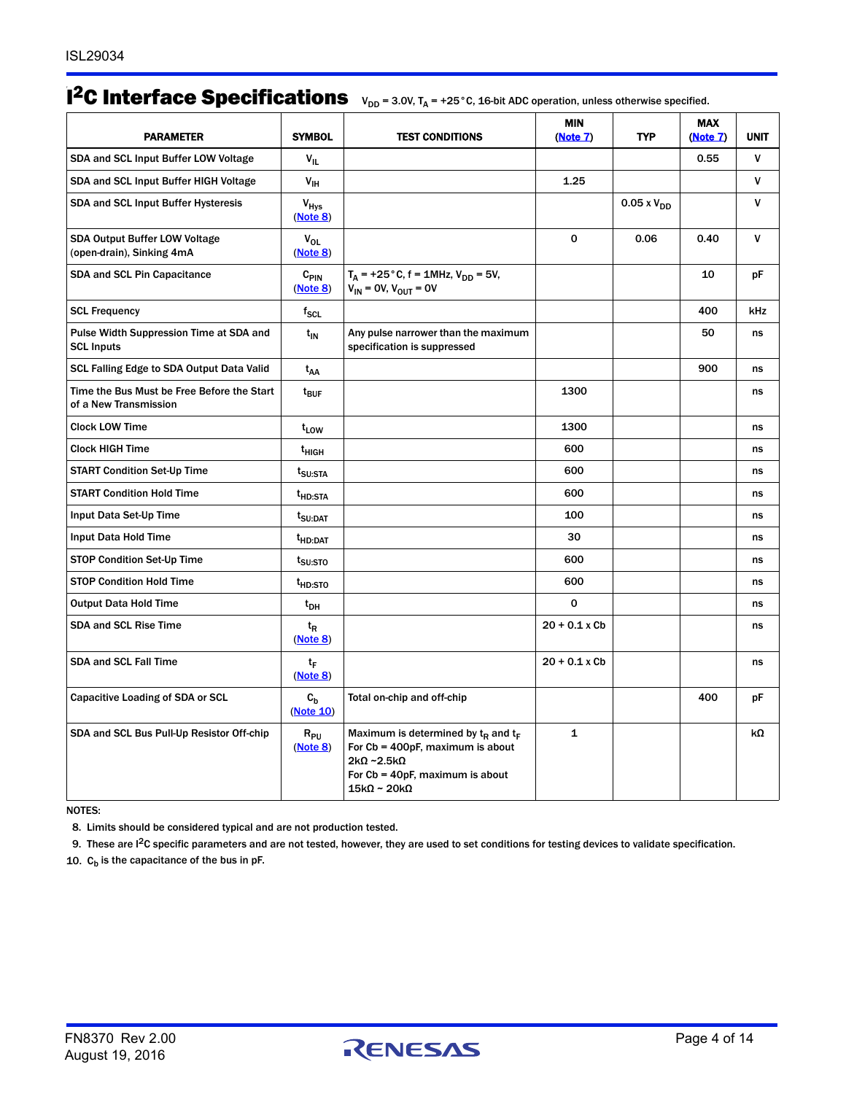# $1^2C$  Interface Specifications  $V_{DD} = 3.0V$ ,  $T_A = +25^{\circ}$ C, 16-bit ADC operation, unless otherwise specified.

| <b>PARAMETER</b>                                                    | <b>SYMBOL</b>                | <b>TEST CONDITIONS</b>                                                                                                                                                                 | <b>MIN</b><br>(Note 7) | <b>TYP</b>           | <b>MAX</b><br>(Note 7) | <b>UNIT</b> |
|---------------------------------------------------------------------|------------------------------|----------------------------------------------------------------------------------------------------------------------------------------------------------------------------------------|------------------------|----------------------|------------------------|-------------|
| SDA and SCL Input Buffer LOW Voltage                                | $V_{\rm H}$                  |                                                                                                                                                                                        |                        |                      | 0.55                   | V           |
| SDA and SCL Input Buffer HIGH Voltage                               | $V_{\text{IH}}$              |                                                                                                                                                                                        | 1.25                   |                      |                        | v           |
| SDA and SCL Input Buffer Hysteresis                                 | $V_{HVS}$<br>(Note 8)        |                                                                                                                                                                                        |                        | $0.05 \times V_{DD}$ |                        | v           |
| <b>SDA Output Buffer LOW Voltage</b><br>(open-drain), Sinking 4mA   | $V_{OL}$<br>(Note 8)         |                                                                                                                                                                                        | 0                      | 0.06                 | 0.40                   | v           |
| SDA and SCL Pin Capacitance                                         | $C_{\text{PIN}}$<br>(Note 8) | $T_A$ = +25 °C, f = 1MHz, $V_{DD}$ = 5V,<br>$V_{IN}$ = OV, $V_{OUT}$ = OV                                                                                                              |                        |                      | 10                     | рF          |
| <b>SCL Frequency</b>                                                | $f_{\rm SCL}$                |                                                                                                                                                                                        |                        |                      | 400                    | kHz         |
| Pulse Width Suppression Time at SDA and<br><b>SCL Inputs</b>        | $t_{IN}$                     | Any pulse narrower than the maximum<br>specification is suppressed                                                                                                                     |                        |                      | 50                     | ns          |
| SCL Falling Edge to SDA Output Data Valid                           | t <sub>AA</sub>              |                                                                                                                                                                                        |                        |                      | 900                    | ns          |
| Time the Bus Must be Free Before the Start<br>of a New Transmission | $t_{\mathsf{BUF}}$           |                                                                                                                                                                                        | 1300                   |                      |                        | ns          |
| <b>Clock LOW Time</b>                                               | t <sub>LOW</sub>             |                                                                                                                                                                                        | 1300                   |                      |                        | ns          |
| <b>Clock HIGH Time</b>                                              | t <sub>HIGH</sub>            |                                                                                                                                                                                        | 600                    |                      |                        | ns          |
| <b>START Condition Set-Up Time</b>                                  | t <sub>SU:STA</sub>          |                                                                                                                                                                                        | 600                    |                      |                        | ns          |
| <b>START Condition Hold Time</b>                                    | <sup>t</sup> HD:STA          |                                                                                                                                                                                        | 600                    |                      |                        | ns          |
| Input Data Set-Up Time                                              | t <sub>SU:DAT</sub>          |                                                                                                                                                                                        | 100                    |                      |                        | ns          |
| Input Data Hold Time                                                | <sup>t</sup> HD:DAT          |                                                                                                                                                                                        | 30                     |                      |                        | ns          |
| STOP Condition Set-Up Time                                          | t <sub>su:Sto</sub>          |                                                                                                                                                                                        | 600                    |                      |                        | ns          |
| <b>STOP Condition Hold Time</b>                                     | t <sub>HD:STO</sub>          |                                                                                                                                                                                        | 600                    |                      |                        | ns          |
| <b>Output Data Hold Time</b>                                        | $t_{DH}$                     |                                                                                                                                                                                        | 0                      |                      |                        | ns          |
| <b>SDA and SCL Rise Time</b>                                        | t <sub>R</sub><br>(Note 8)   |                                                                                                                                                                                        | $20 + 0.1 x$ Cb        |                      |                        | ns          |
| <b>SDA and SCL Fall Time</b>                                        | tF<br>(Note 8)               |                                                                                                                                                                                        | $20 + 0.1x$ Cb         |                      |                        | ns          |
| Capacitive Loading of SDA or SCL                                    | $c_{h}$<br>(Note 10)         | Total on-chip and off-chip                                                                                                                                                             |                        |                      | 400                    | рF          |
| SDA and SCL Bus Pull-Up Resistor Off-chip                           | $R_{PU}$<br>(Note 8)         | Maximum is determined by $t_{\rm R}$ and $t_{\rm F}$<br>For Cb = 400pF, maximum is about<br>$2k\Omega$ ~2.5k $\Omega$<br>For Cb = 40pF, maximum is about<br>$15k\Omega \sim 20k\Omega$ | $\mathbf{1}$           |                      |                        | kΩ          |

NOTES:

<span id="page-3-0"></span>8. Limits should be considered typical and are not production tested.

<span id="page-3-2"></span>9. These are I2C specific parameters and are not tested, however, they are used to set conditions for testing devices to validate specification.

<span id="page-3-1"></span>10.  $C_b$  is the capacitance of the bus in pF.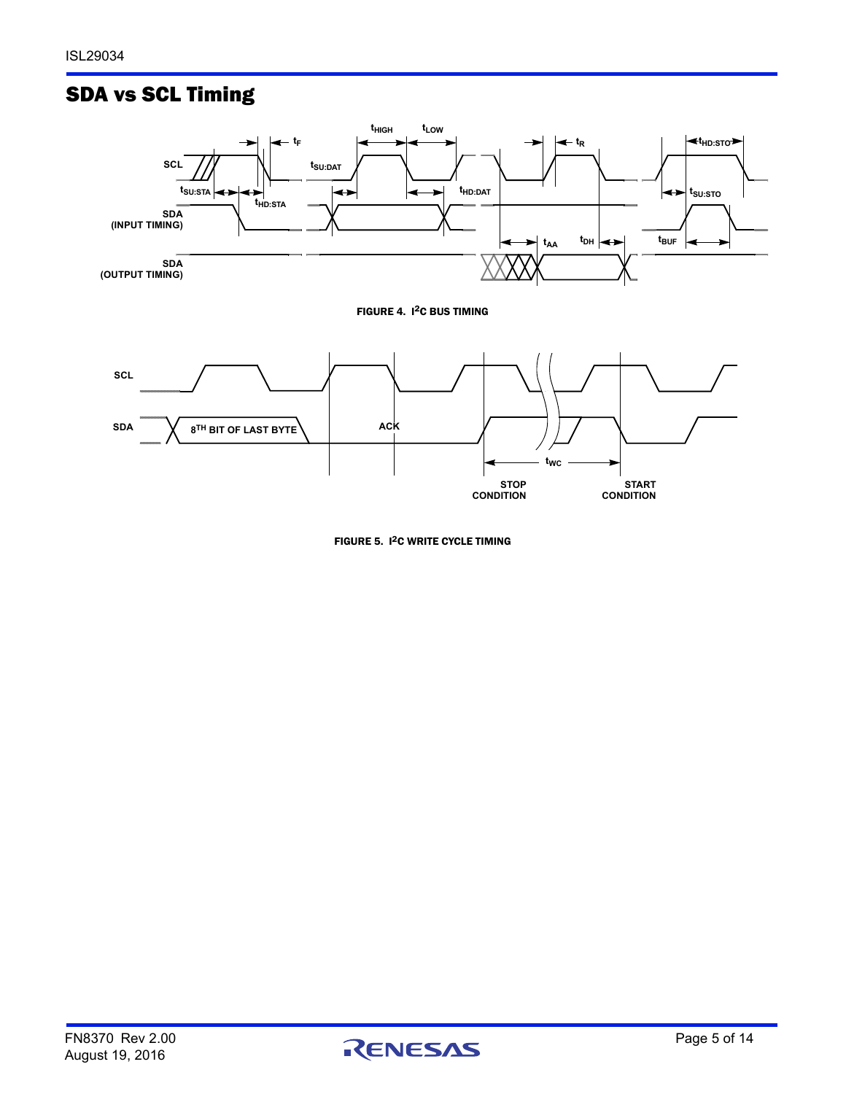# SDA vs SCL Timing



<span id="page-4-0"></span>

FIGURE 5. I<sup>2</sup>C WRITE CYCLE TIMING

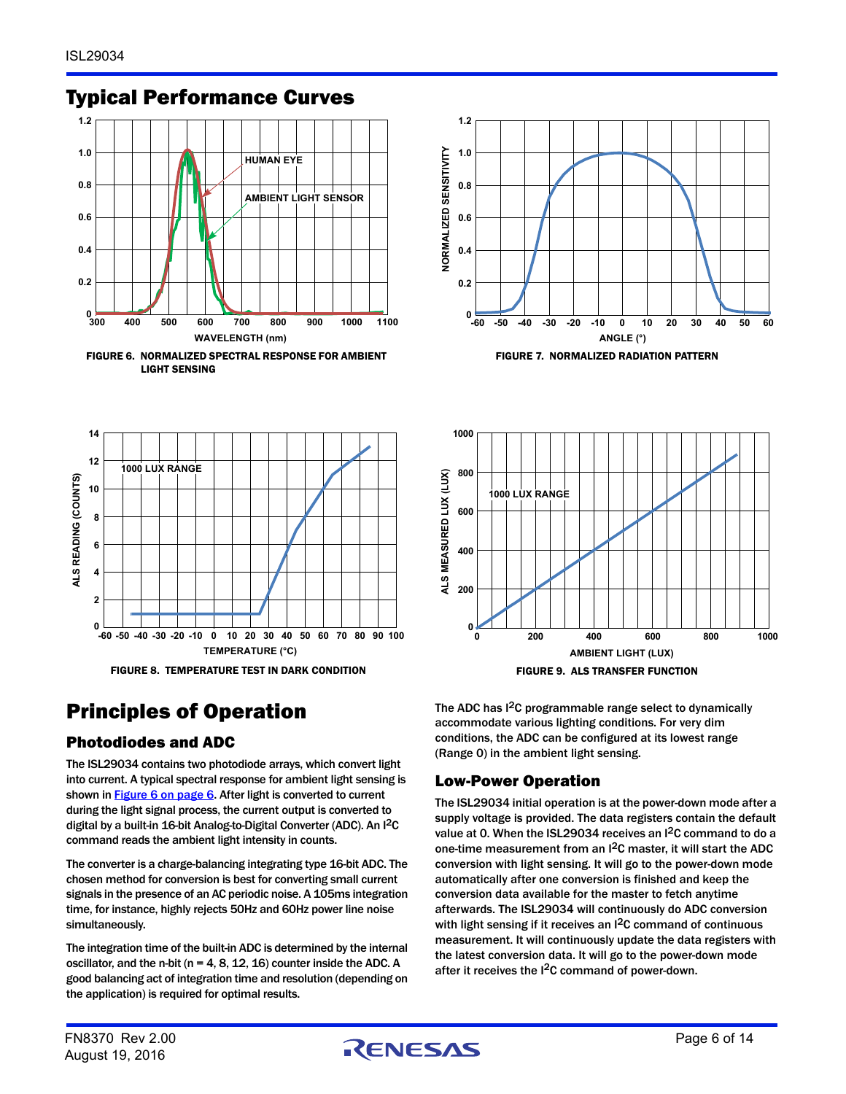## Typical Performance Curves





<span id="page-5-0"></span>





# <span id="page-5-1"></span>Principles of Operation

## Photodiodes and ADC

The ISL29034 contains two photodiode arrays, which convert light into current. A typical spectral response for ambient light sensing is shown in **Figure 6 on page 6**. After light is converted to current during the light signal process, the current output is converted to digital by a built-in 16-bit Analog-to-Digital Converter (ADC). An I 2C command reads the ambient light intensity in counts.

The converter is a charge-balancing integrating type 16-bit ADC. The chosen method for conversion is best for converting small current signals in the presence of an AC periodic noise. A 105ms integration time, for instance, highly rejects 50Hz and 60Hz power line noise simultaneously.

The integration time of the built-in ADC is determined by the internal oscillator, and the n-bit ( $n = 4, 8, 12, 16$ ) counter inside the ADC. A good balancing act of integration time and resolution (depending on the application) is required for optimal results.

The ADC has I<sup>2</sup>C programmable range select to dynamically accommodate various lighting conditions. For very dim conditions, the ADC can be configured at its lowest range (Range 0) in the ambient light sensing.

## Low-Power Operation

**1000**

The ISL29034 initial operation is at the power-down mode after a supply voltage is provided. The data registers contain the default value at 0. When the ISL29034 receives an I<sup>2</sup>C command to do a one-time measurement from an I2C master, it will start the ADC conversion with light sensing. It will go to the power-down mode automatically after one conversion is finished and keep the conversion data available for the master to fetch anytime afterwards. The ISL29034 will continuously do ADC conversion with light sensing if it receives an I<sup>2</sup>C command of continuous measurement. It will continuously update the data registers with the latest conversion data. It will go to the power-down mode after it receives the I<sup>2</sup>C command of power-down.

August 19, 2016

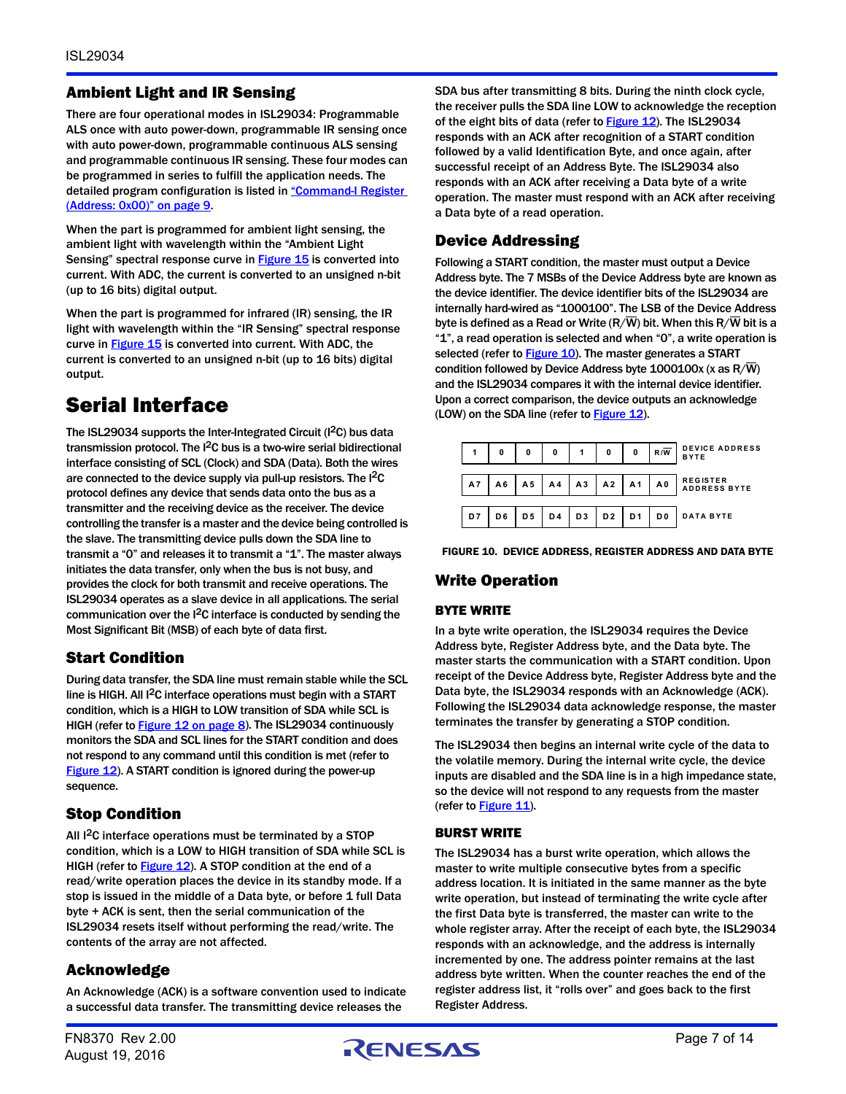## Ambient Light and IR Sensing

There are four operational modes in ISL29034: Programmable ALS once with auto power-down, programmable IR sensing once with auto power-down, programmable continuous ALS sensing and programmable continuous IR sensing. These four modes can be programmed in series to fulfill the application needs. The detailed program configuration is listed in "Command-I Register [\(Address: 0x00\)" on page 9](#page-8-0).

When the part is programmed for ambient light sensing, the ambient light with wavelength within the "Ambient Light Sensing" spectral response curve in **Figure 15** is converted into current. With ADC, the current is converted to an unsigned n-bit (up to 16 bits) digital output.

When the part is programmed for infrared (IR) sensing, the IR light with wavelength within the "IR Sensing" spectral response curve in **Figure 15** is converted into current. With ADC, the current is converted to an unsigned n-bit (up to 16 bits) digital output.

# <span id="page-6-1"></span>Serial Interface

The ISL29034 supports the Inter-Integrated Circuit (I<sup>2</sup>C) bus data transmission protocol. The I2C bus is a two-wire serial bidirectional interface consisting of SCL (Clock) and SDA (Data). Both the wires are connected to the device supply via pull-up resistors. The I<sup>2</sup>C protocol defines any device that sends data onto the bus as a transmitter and the receiving device as the receiver. The device controlling the transfer is a master and the device being controlled is the slave. The transmitting device pulls down the SDA line to transmit a "0" and releases it to transmit a "1". The master always initiates the data transfer, only when the bus is not busy, and provides the clock for both transmit and receive operations. The ISL29034 operates as a slave device in all applications. The serial communication over the I2C interface is conducted by sending the Most Significant Bit (MSB) of each byte of data first.

## Start Condition

During data transfer, the SDA line must remain stable while the SCL line is HIGH. All I2C interface operations must begin with a START condition, which is a HIGH to LOW transition of SDA while SCL is HIGH (refer to [Figure 12 on page 8\)](#page-7-0). The ISL29034 continuously monitors the SDA and SCL lines for the START condition and does not respond to any command until this condition is met (refer to [Figure 12\)](#page-7-0). A START condition is ignored during the power-up sequence.

## Stop Condition

All <sup>2</sup>C interface operations must be terminated by a STOP condition, which is a LOW to HIGH transition of SDA while SCL is HIGH (refer to **Figure 12**). A STOP condition at the end of a read/write operation places the device in its standby mode. If a stop is issued in the middle of a Data byte, or before 1 full Data byte + ACK is sent, then the serial communication of the ISL29034 resets itself without performing the read/write. The contents of the array are not affected.

## Acknowledge

An Acknowledge (ACK) is a software convention used to indicate a successful data transfer. The transmitting device releases the

SDA bus after transmitting 8 bits. During the ninth clock cycle, the receiver pulls the SDA line LOW to acknowledge the reception of the eight bits of data (refer to [Figure 12\)](#page-7-0). The ISL29034 responds with an ACK after recognition of a START condition followed by a valid Identification Byte, and once again, after successful receipt of an Address Byte. The ISL29034 also responds with an ACK after receiving a Data byte of a write operation. The master must respond with an ACK after receiving a Data byte of a read operation.

## Device Addressing

Following a START condition, the master must output a Device Address byte. The 7 MSBs of the Device Address byte are known as the device identifier. The device identifier bits of the ISL29034 are internally hard-wired as "1000100". The LSB of the Device Address byte is defined as a Read or Write ( $R/\overline{W}$ ) bit. When this  $R/\overline{W}$  bit is a "1", a read operation is selected and when "0", a write operation is selected (refer to [Figure 10](#page-6-0)). The master generates a START condition followed by Device Address byte  $1000100x$  (x as R/W) and the ISL29034 compares it with the internal device identifier. Upon a correct comparison, the device outputs an acknowledge (LOW) on the SDA line (refer to [Figure 12\)](#page-7-0).



<span id="page-6-0"></span>FIGURE 10. DEVICE ADDRESS, REGISTER ADDRESS AND DATA BYTE

## Write Operation

#### BYTE WRITE

In a byte write operation, the ISL29034 requires the Device Address byte, Register Address byte, and the Data byte. The master starts the communication with a START condition. Upon receipt of the Device Address byte, Register Address byte and the Data byte, the ISL29034 responds with an Acknowledge (ACK). Following the ISL29034 data acknowledge response, the master terminates the transfer by generating a STOP condition.

The ISL29034 then begins an internal write cycle of the data to the volatile memory. During the internal write cycle, the device inputs are disabled and the SDA line is in a high impedance state, so the device will not respond to any requests from the master (refer to  $Figure 11$ ).

#### BURST WRITE

The ISL29034 has a burst write operation, which allows the master to write multiple consecutive bytes from a specific address location. It is initiated in the same manner as the byte write operation, but instead of terminating the write cycle after the first Data byte is transferred, the master can write to the whole register array. After the receipt of each byte, the ISL29034 responds with an acknowledge, and the address is internally incremented by one. The address pointer remains at the last address byte written. When the counter reaches the end of the register address list, it "rolls over" and goes back to the first Register Address.

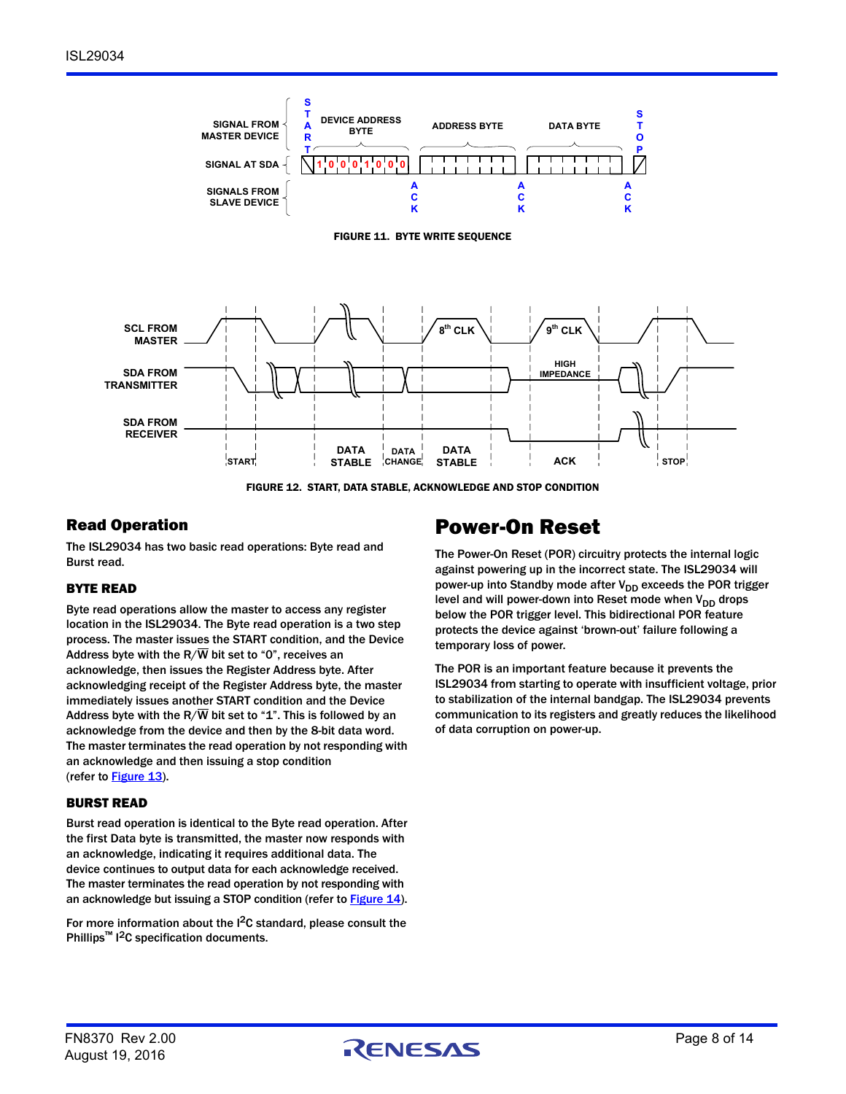<span id="page-7-1"></span>

FIGURE 12. START, DATA STABLE, ACKNOWLEDGE AND STOP CONDITION

## <span id="page-7-0"></span>Read Operation

The ISL29034 has two basic read operations: Byte read and Burst read.

#### BYTE READ

Byte read operations allow the master to access any register location in the ISL29034. The Byte read operation is a two step process. The master issues the START condition, and the Device Address byte with the R/ $\overline{W}$  bit set to "0", receives an acknowledge, then issues the Register Address byte. After acknowledging receipt of the Register Address byte, the master immediately issues another START condition and the Device Address byte with the R/ $\overline{W}$  bit set to "1". This is followed by an acknowledge from the device and then by the 8-bit data word. The master terminates the read operation by not responding with an acknowledge and then issuing a stop condition (refer to [Figure 13\)](#page-8-1).

#### BURST READ

Burst read operation is identical to the Byte read operation. After the first Data byte is transmitted, the master now responds with an acknowledge, indicating it requires additional data. The device continues to output data for each acknowledge received. The master terminates the read operation by not responding with an acknowledge but issuing a STOP condition (refer to **[Figure 14](#page-8-2))**.

For more information about the I<sup>2</sup>C standard, please consult the Phillips<sup>™</sup> I<sup>2</sup>C specification documents.

# Power-On Reset

The Power-On Reset (POR) circuitry protects the internal logic against powering up in the incorrect state. The ISL29034 will power-up into Standby mode after  $V_{DD}$  exceeds the POR trigger level and will power-down into Reset mode when  $V_{DD}$  drops below the POR trigger level. This bidirectional POR feature protects the device against 'brown-out' failure following a temporary loss of power.

The POR is an important feature because it prevents the ISL29034 from starting to operate with insufficient voltage, prior to stabilization of the internal bandgap. The ISL29034 prevents communication to its registers and greatly reduces the likelihood of data corruption on power-up.

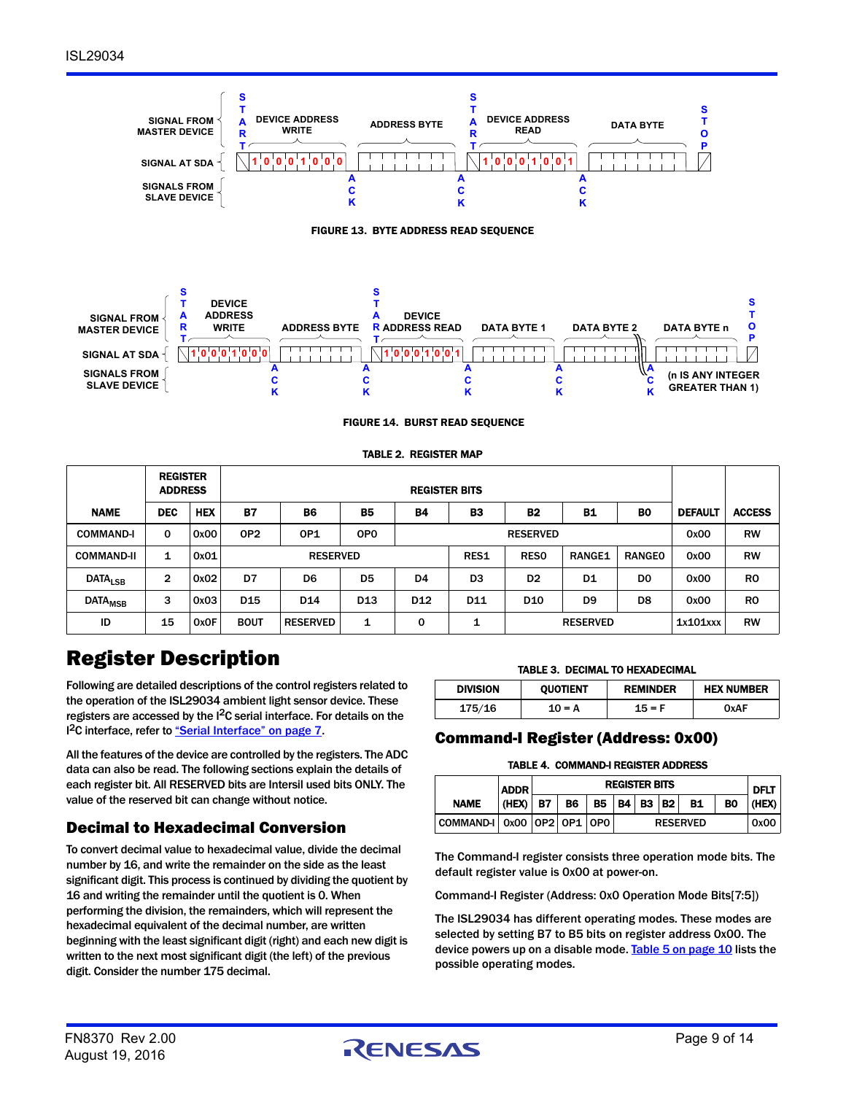



<span id="page-8-1"></span>

FIGURE 14. BURST READ SEQUENCE

TABLE 2. REGISTER MAP

<span id="page-8-2"></span>

|                           | <b>REGISTER</b><br><b>ADDRESS</b> |            |                 |                 |                 |                           | <b>REGISTER BITS</b>                                  |                 |                |                |                |               |
|---------------------------|-----------------------------------|------------|-----------------|-----------------|-----------------|---------------------------|-------------------------------------------------------|-----------------|----------------|----------------|----------------|---------------|
| <b>NAME</b>               | <b>DEC</b>                        | <b>HEX</b> | <b>B7</b>       | <b>B6</b>       | <b>B5</b>       | <b>B4</b>                 | <b>B3</b><br><b>B2</b><br><b>B1</b><br>B <sub>0</sub> |                 |                |                | <b>DEFAULT</b> | <b>ACCESS</b> |
| <b>COMMAND-I</b>          | 0                                 | 0x00       | OP <sub>2</sub> | OP <sub>1</sub> | OP <sub>0</sub> |                           | <b>RESERVED</b>                                       |                 |                |                | 0x00           | <b>RW</b>     |
| <b>COMMAND-II</b>         | 1                                 | 0x01       |                 | <b>RESERVED</b> |                 |                           |                                                       | <b>RESO</b>     | <b>RANGE1</b>  | <b>RANGEO</b>  | 0x00           | <b>RW</b>     |
| <b>DATA<sub>LSB</sub></b> | 2                                 | 0x02       | D7              | D <sub>6</sub>  | D <sub>5</sub>  | D <sub>4</sub>            | D <sub>3</sub>                                        | D <sub>2</sub>  | D <sub>1</sub> | D <sub>0</sub> | 0x00           | <b>RO</b>     |
| <b>DATA<sub>MSB</sub></b> | 3                                 | 0x03       | D <sub>15</sub> | D <sub>14</sub> | D <sub>13</sub> | D <sub>12</sub>           | D <sub>11</sub>                                       | D <sub>10</sub> | D <sub>9</sub> | D <sub>8</sub> | 0x00           | <b>RO</b>     |
| ID                        | 15                                | 0x0F       | <b>BOUT</b>     | <b>RESERVED</b> | 1               | 0<br>1<br><b>RESERVED</b> |                                                       |                 | 1x101xxx       | <b>RW</b>      |                |               |

# Register Description

Following are detailed descriptions of the control registers related to the operation of the ISL29034 ambient light sensor device. These registers are accessed by the I2C serial interface. For details on the I<sup>2</sup>C interface, refer to ["Serial Interface" on page 7.](#page-6-1)

All the features of the device are controlled by the registers. The ADC data can also be read. The following sections explain the details of each register bit. All RESERVED bits are Intersil used bits ONLY. The value of the reserved bit can change without notice.

## Decimal to Hexadecimal Conversion

To convert decimal value to hexadecimal value, divide the decimal number by 16, and write the remainder on the side as the least significant digit. This process is continued by dividing the quotient by 16 and writing the remainder until the quotient is 0. When performing the division, the remainders, which will represent the hexadecimal equivalent of the decimal number, are written beginning with the least significant digit (right) and each new digit is written to the next most significant digit (the left) of the previous digit. Consider the number 175 decimal.

#### TABLE 3. DECIMAL TO HEXADECIMAL

| <b>DIVISION</b> | <b>OUOTIENT</b> | <b>REMINDER</b> | <b>HEX NUMBER</b> |  |
|-----------------|-----------------|-----------------|-------------------|--|
| 175/16          | $10 = A$        | $15 = F$        | 0xAF              |  |

## <span id="page-8-0"></span>Command-I Register (Address: 0x00)

#### TABLE 4. COMMAND-I REGISTER ADDRESS

|                                    | <b>REGISTER BITS</b><br><b>ADDR</b> |           |           |           |                 |  | <b>DFLT</b> |      |    |       |
|------------------------------------|-------------------------------------|-----------|-----------|-----------|-----------------|--|-------------|------|----|-------|
| <b>NAME</b>                        | (HEX)                               | <b>B7</b> | <b>B6</b> | <b>B5</b> | <b>B4 B3</b>    |  | B2          | B1   | BO | (HEX) |
| COMMAND-I   0x00   0P2   0P1   0P0 |                                     |           |           |           | <b>RESERVED</b> |  |             | 0x00 |    |       |

The Command-I register consists three operation mode bits. The default register value is 0x00 at power-on.

Command-I Register (Address: 0x0 Operation Mode Bits[7:5])

The ISL29034 has different operating modes. These modes are selected by setting B7 to B5 bits on register address 0x00. The device powers up on a disable mode. [Table 5 on page 10](#page-9-0) lists the possible operating modes.

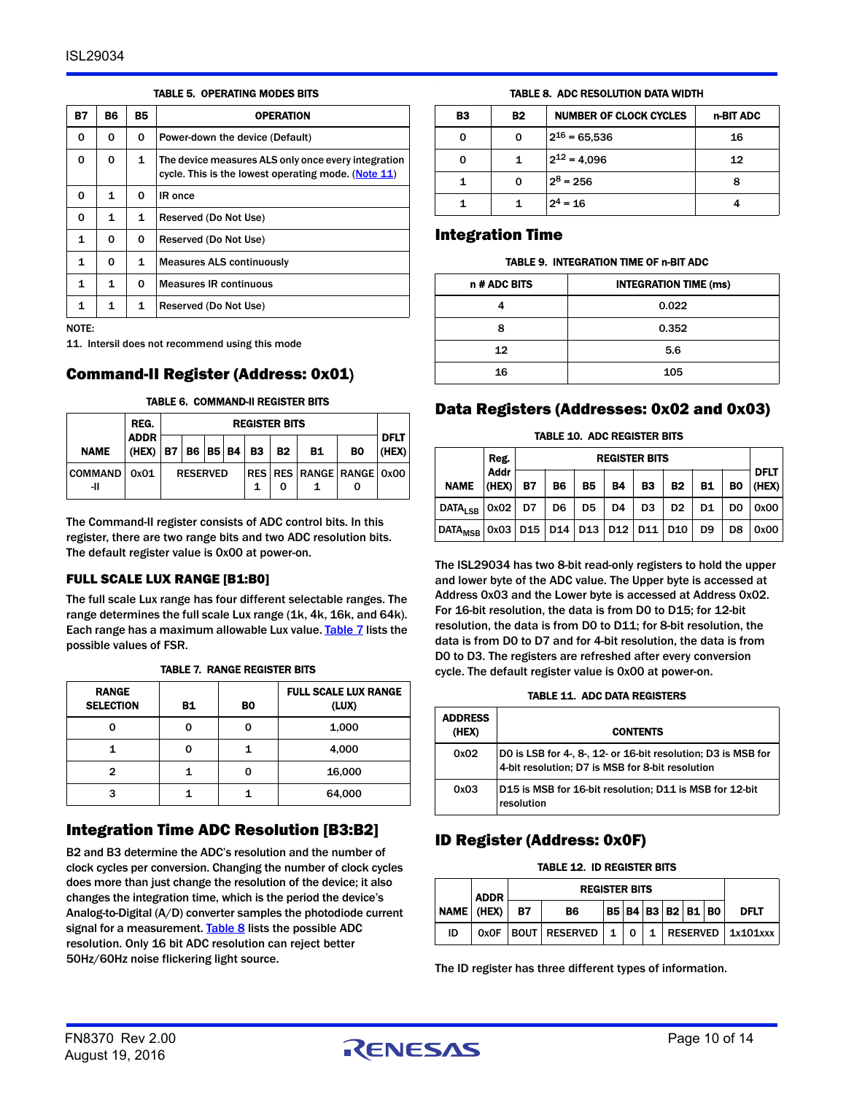<span id="page-9-0"></span>

| <b>B7</b>    | В6 | <b>B5</b> | <b>OPERATION</b>                                                                                           |
|--------------|----|-----------|------------------------------------------------------------------------------------------------------------|
| 0            | 0  | 0         | Power-down the device (Default)                                                                            |
| 0            | 0  | 1         | The device measures ALS only once every integration<br>cycle. This is the lowest operating mode. (Note 11) |
| 0            | 1  | 0         | IR once                                                                                                    |
| 0            | 1  | 1         | Reserved (Do Not Use)                                                                                      |
| $\mathbf{1}$ | 0  | 0         | Reserved (Do Not Use)                                                                                      |
| 1            | 0  | 1         | <b>Measures ALS continuously</b>                                                                           |
| 1            | 1  | 0         | <b>Measures IR continuous</b>                                                                              |
| 1            | 1  | 1         | Reserved (Do Not Use)                                                                                      |

TABLE 5. OPERATING MODES BITS

NOTE:

<span id="page-9-3"></span>11. Intersil does not recommend using this mode

#### Command-II Register (Address: 0x01)

#### TABLE 6. COMMAND-II REGISTER BITS

|                       | REG.<br><b>REGISTER BITS</b> |                 |  |  |  |                        |                          |           |    |                      |  |
|-----------------------|------------------------------|-----------------|--|--|--|------------------------|--------------------------|-----------|----|----------------------|--|
| <b>NAME</b>           | <b>ADDR</b><br>(HEX)         |                 |  |  |  | B7   B6   B5   B4   B3 | <b>B2</b>                | <b>B1</b> | B0 | <b>DFLT</b><br>(HEX) |  |
| <b>COMMAND</b><br>-11 | 0x01                         | <b>RESERVED</b> |  |  |  |                        | RES RES RANGE RANGE 0x00 |           |    |                      |  |

The Command-II register consists of ADC control bits. In this register, there are two range bits and two ADC resolution bits. The default register value is 0x00 at power-on.

#### FULL SCALE LUX RANGE [B1:B0]

The full scale Lux range has four different selectable ranges. The range determines the full scale Lux range (1k, 4k, 16k, and 64k). Each range has a maximum allowable Lux value. [Table 7](#page-9-2) lists the possible values of FSR.

<span id="page-9-2"></span>

| <b>RANGE</b><br><b>SELECTION</b> | B1 | BO | <b>FULL SCALE LUX RANGE</b><br>(LUX) |
|----------------------------------|----|----|--------------------------------------|
| O                                | 0  |    | 1,000                                |
|                                  | 0  |    | 4,000                                |
| 2                                |    |    | 16,000                               |
| 3                                |    |    | 64,000                               |

#### TABLE 7. RANGE REGISTER BITS

## Integration Time ADC Resolution [B3:B2]

B2 and B3 determine the ADC's resolution and the number of clock cycles per conversion. Changing the number of clock cycles does more than just change the resolution of the device; it also changes the integration time, which is the period the device's Analog-to-Digital (A/D) converter samples the photodiode current signal for a measurement. [Table 8](#page-9-1) lists the possible ADC resolution. Only 16 bit ADC resolution can reject better 50Hz/60Hz noise flickering light source.

#### TABLE 8. ADC RESOLUTION DATA WIDTH

<span id="page-9-1"></span>

| B3 | <b>B2</b> | <b>NUMBER OF CLOCK CYCLES</b> | n-BIT ADC |
|----|-----------|-------------------------------|-----------|
|    | o         | $2^{16} = 65,536$             | 16        |
|    |           | $2^{12} = 4,096$              | 12        |
|    |           | $2^8$ = 256                   | 8         |
|    |           | $2^4$ = 16                    |           |

#### Integration Time

#### TABLE 9. INTEGRATION TIME OF n-BIT ADC

| n # ADC BITS | <b>INTEGRATION TIME (ms)</b> |
|--------------|------------------------------|
|              | 0.022                        |
| 8            | 0.352                        |
| 12           | 5.6                          |
| 16           | 105                          |

#### Data Registers (Addresses: 0x02 and 0x03)

#### TABLE 10. ADC REGISTER BITS

|                                                                | <b>REGISTER BITS</b><br>Reg. |           |                |                |           |                |                |                |                |                      |
|----------------------------------------------------------------|------------------------------|-----------|----------------|----------------|-----------|----------------|----------------|----------------|----------------|----------------------|
| <b>NAME</b>                                                    | <b>Addr</b><br>(HEX)         | <b>B7</b> | <b>B6</b>      | <b>B5</b>      | <b>B4</b> | <b>B3</b>      | <b>B2</b>      | <b>B1</b>      | B <sub>0</sub> | <b>DFLT</b><br>(HEX) |
| DATA <sub>LSB</sub> $\vert 0x02 \vert$ D7                      |                              |           | D <sub>6</sub> | D <sub>5</sub> | D4        | D <sub>3</sub> | D <sub>2</sub> | D <sub>1</sub> | D <sub>0</sub> | 0x00                 |
| DATA <sub>MSB</sub>   0x03   D15   D14   D13   D12   D11   D10 |                              |           |                |                |           |                |                | D <sub>9</sub> | D8             | 0x00                 |

The ISL29034 has two 8-bit read-only registers to hold the upper and lower byte of the ADC value. The Upper byte is accessed at Address 0x03 and the Lower byte is accessed at Address 0x02. For 16-bit resolution, the data is from D0 to D15; for 12-bit resolution, the data is from D0 to D11; for 8-bit resolution, the data is from D0 to D7 and for 4-bit resolution, the data is from D0 to D3. The registers are refreshed after every conversion cycle. The default register value is 0x00 at power-on.

#### TABLE 11. ADC DATA REGISTERS

| <b>ADDRESS</b><br>(HEX) | <b>CONTENTS</b>                                                                                                   |
|-------------------------|-------------------------------------------------------------------------------------------------------------------|
| 0x02                    | DO is LSB for 4-, 8-, 12- or 16-bit resolution; D3 is MSB for<br>4-bit resolution; D7 is MSB for 8-bit resolution |
| 0x03                    | D15 is MSB for 16-bit resolution; D11 is MSB for 12-bit<br>resolution                                             |

## ID Register (Address: 0x0F)

#### TABLE 12. ID REGISTER BITS

|            | <b>ADDR</b> |           | <b>REGISTER BITS</b> |              |              |  |  |  |                             |                         |
|------------|-------------|-----------|----------------------|--------------|--------------|--|--|--|-----------------------------|-------------------------|
| NAME (HEX) |             | <b>B7</b> | <b>B6</b>            |              |              |  |  |  | B5   B4   B3   B2   B1   B0 | <b>DFLT</b>             |
| ID         |             |           | OxOF BOUT RESERVED   | $\mathbf{1}$ | $\mathbf{O}$ |  |  |  |                             | $1$ RESERVED $1x101xxx$ |

The ID register has three different types of information.

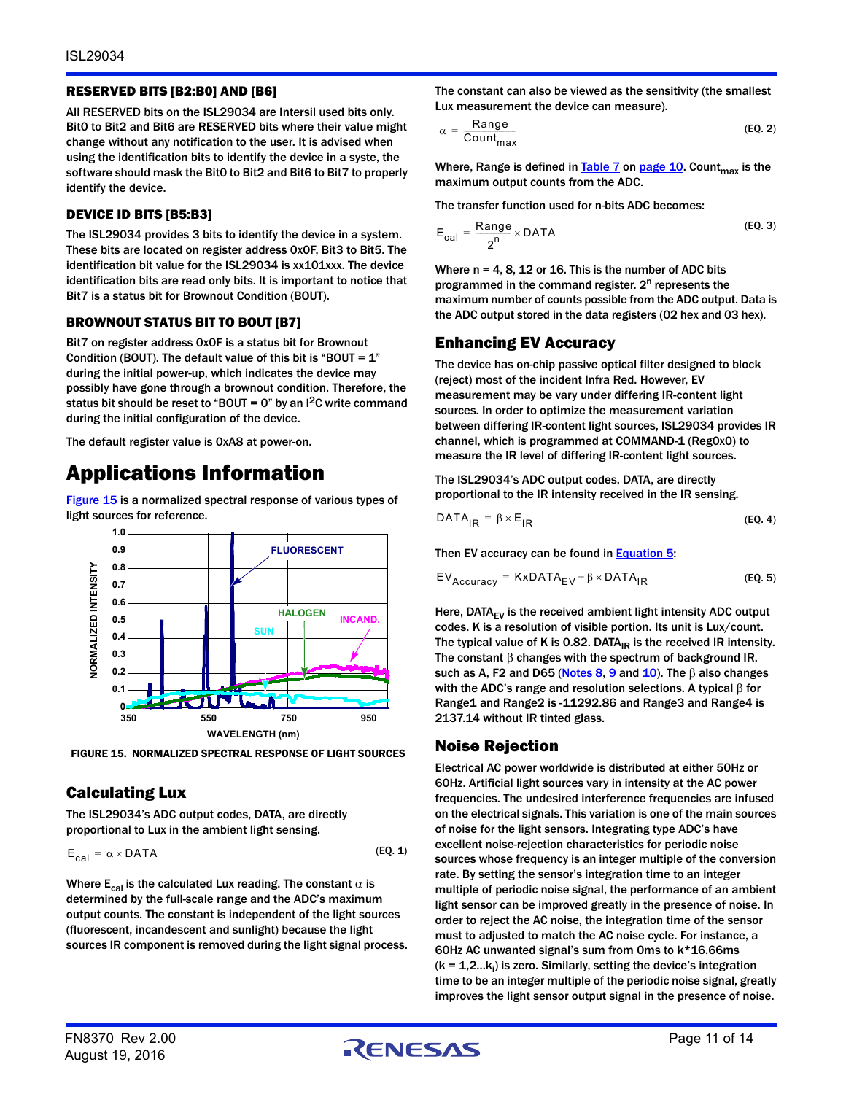#### RESERVED BITS [B2:B0] AND [B6]

All RESERVED bits on the ISL29034 are Intersil used bits only. Bit0 to Bit2 and Bit6 are RESERVED bits where their value might change without any notification to the user. It is advised when using the identification bits to identify the device in a syste, the software should mask the Bit0 to Bit2 and Bit6 to Bit7 to properly identify the device.

#### DEVICE ID BITS [B5:B3]

The ISL29034 provides 3 bits to identify the device in a system. These bits are located on register address 0x0F, Bit3 to Bit5. The identification bit value for the ISL29034 is xx101xxx. The device identification bits are read only bits. It is important to notice that Bit7 is a status bit for Brownout Condition (BOUT).

#### BROWNOUT STATUS BIT TO BOUT [B7]

Bit7 on register address 0x0F is a status bit for Brownout Condition (BOUT). The default value of this bit is "BOUT =  $1$ " during the initial power-up, which indicates the device may possibly have gone through a brownout condition. Therefore, the status bit should be reset to "BOUT =  $0$ " by an I<sup>2</sup>C write command during the initial configuration of the device.

The default register value is 0xA8 at power-on.

# Applications Information

[Figure 15](#page-10-0) is a normalized spectral response of various types of light sources for reference.



<span id="page-10-0"></span>FIGURE 15. NORMALIZED SPECTRAL RESPONSE OF LIGHT SOURCES

## Calculating Lux

The ISL29034's ADC output codes, DATA, are directly proportional to Lux in the ambient light sensing.

$$
E_{cal} = \alpha \times \text{DATA} \tag{Eq. 1}
$$

Where  $E_{cal}$  is the calculated Lux reading. The constant  $\alpha$  is determined by the full-scale range and the ADC's maximum output counts. The constant is independent of the light sources (fluorescent, incandescent and sunlight) because the light sources IR component is removed during the light signal process. The constant can also be viewed as the sensitivity (the smallest Lux measurement the device can measure).

$$
\alpha = \frac{\text{Range}}{\text{Count}_{\text{max}}} \tag{Eq. 2}
$$

Where, Range is defined in Table  $7$  on [page 10.](#page-9-2) Count<sub>max</sub> is the maximum output counts from the ADC.

The transfer function used for n-bits ADC becomes:

$$
E_{cal} = \frac{Range}{2^n} \times DATA
$$
 (EQ. 3)

Where  $n = 4$ , 8, 12 or 16. This is the number of ADC bits programmed in the command register.  $2^n$  represents the maximum number of counts possible from the ADC output. Data is the ADC output stored in the data registers (02 hex and 03 hex).

## Enhancing EV Accuracy

The device has on-chip passive optical filter designed to block (reject) most of the incident Infra Red. However, EV measurement may be vary under differing IR-content light sources. In order to optimize the measurement variation between differing IR-content light sources, ISL29034 provides IR channel, which is programmed at COMMAND-1 (Reg0x0) to measure the IR level of differing IR-content light sources.

The ISL29034's ADC output codes, DATA, are directly proportional to the IR intensity received in the IR sensing.

<span id="page-10-2"></span>
$$
DATA_{IR} = \beta \times E_{IR}
$$
 (EQ.4)

Then EV accuracy can be found in **Equation 5:** 

<span id="page-10-1"></span>
$$
EV_{Accuracy} = KxDATA_{EV} + \beta \times DATA_{IR}
$$
 (EQ. 5)

Here,  $DATA_{EV}$  is the received ambient light intensity ADC output codes. K is a resolution of visible portion. Its unit is Lux/count. The typical value of K is 0.82. DATA $_{IR}$  is the received IR intensity. The constant  $\beta$  changes with the spectrum of background IR, such as A, F2 and D65 ([Notes 8](#page-3-0),  $9$  and  $10$ ). The  $\beta$  also changes with the ADC's range and resolution selections. A typical  $\beta$  for Range1 and Range2 is -11292.86 and Range3 and Range4 is 2137.14 without IR tinted glass.

## Noise Rejection

Electrical AC power worldwide is distributed at either 50Hz or 60Hz. Artificial light sources vary in intensity at the AC power frequencies. The undesired interference frequencies are infused on the electrical signals. This variation is one of the main sources of noise for the light sensors. Integrating type ADC's have excellent noise-rejection characteristics for periodic noise sources whose frequency is an integer multiple of the conversion rate. By setting the sensor's integration time to an integer multiple of periodic noise signal, the performance of an ambient light sensor can be improved greatly in the presence of noise. In order to reject the AC noise, the integration time of the sensor must to adjusted to match the AC noise cycle. For instance, a 60Hz AC unwanted signal's sum from 0ms to k\*16.66ms ( $k = 1, 2...k_i$ ) is zero. Similarly, setting the device's integration time to be an integer multiple of the periodic noise signal, greatly improves the light sensor output signal in the presence of noise.

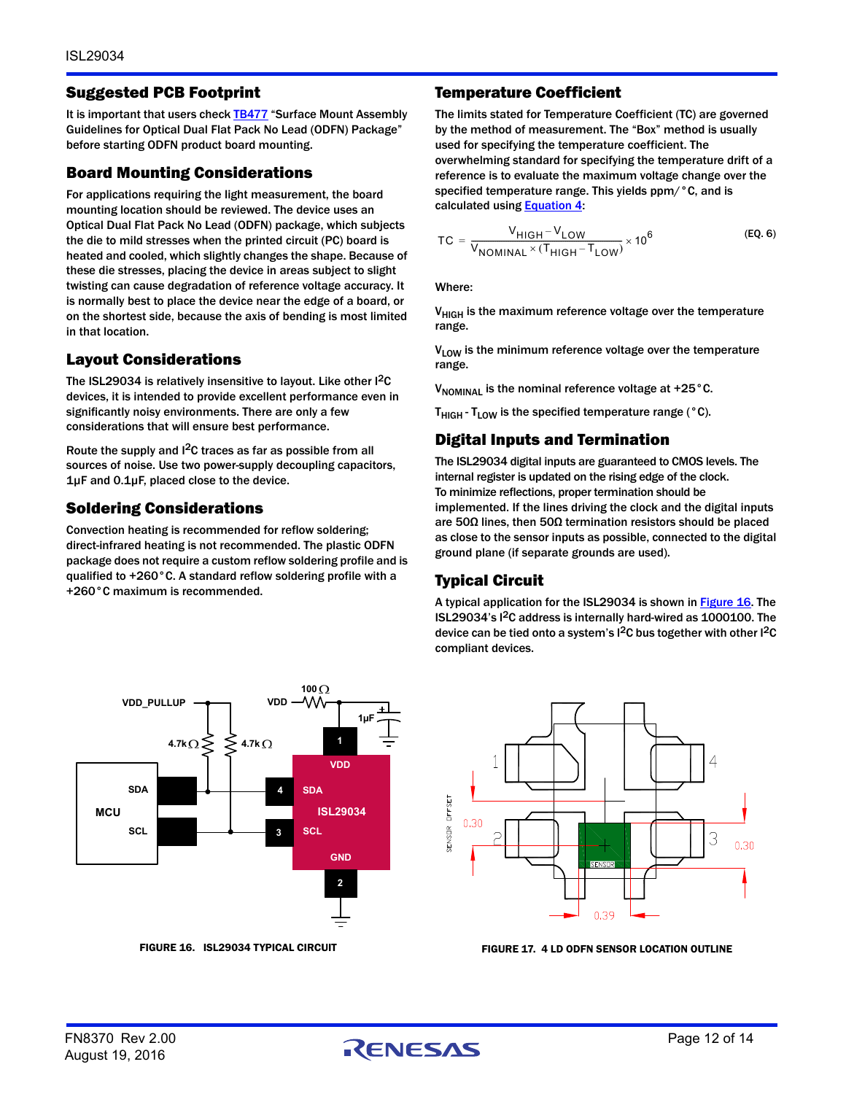#### Suggested PCB Footprint

It is important that users check **TB477** "Surface Mount Assembly Guidelines for Optical Dual Flat Pack No Lead (ODFN) Package" before starting ODFN product board mounting.

#### Board Mounting Considerations

For applications requiring the light measurement, the board mounting location should be reviewed. The device uses an Optical Dual Flat Pack No Lead (ODFN) package, which subjects the die to mild stresses when the printed circuit (PC) board is heated and cooled, which slightly changes the shape. Because of these die stresses, placing the device in areas subject to slight twisting can cause degradation of reference voltage accuracy. It is normally best to place the device near the edge of a board, or on the shortest side, because the axis of bending is most limited in that location.

## Layout Considerations

The ISL29034 is relatively insensitive to layout. Like other I<sup>2</sup>C devices, it is intended to provide excellent performance even in significantly noisy environments. There are only a few considerations that will ensure best performance.

Route the supply and I2C traces as far as possible from all sources of noise. Use two power-supply decoupling capacitors, 1µF and 0.1µF, placed close to the device.

## Soldering Considerations

Convection heating is recommended for reflow soldering; direct-infrared heating is not recommended. The plastic ODFN package does not require a custom reflow soldering profile and is qualified to +260°C. A standard reflow soldering profile with a +260°C maximum is recommended.



#### Temperature Coefficient

The limits stated for Temperature Coefficient (TC) are governed by the method of measurement. The "Box" method is usually used for specifying the temperature coefficient. The overwhelming standard for specifying the temperature drift of a reference is to evaluate the maximum voltage change over the specified temperature range. This yields ppm/°C, and is calculated using **[Equation 4:](#page-10-2)** 

$$
TC = \frac{V_{HIGH} - V_{LOW}}{V_{NOMINAL} \times (T_{HIGH} - T_{LOW})} \times 10^6
$$
 (EQ. 6)

Where:

V<sub>HIGH</sub> is the maximum reference voltage over the temperature range.

V<sub>LOW</sub> is the minimum reference voltage over the temperature range.

 $V_{\text{NOMINAL}}$  is the nominal reference voltage at +25 $^{\circ}$ C.

 $T_{\text{HIGH}}$  -  $T_{\text{LOW}}$  is the specified temperature range (°C).

## Digital Inputs and Termination

The ISL29034 digital inputs are guaranteed to CMOS levels. The internal register is updated on the rising edge of the clock. To minimize reflections, proper termination should be implemented. If the lines driving the clock and the digital inputs are 50Ω lines, then 50Ω termination resistors should be placed as close to the sensor inputs as possible, connected to the digital ground plane (if separate grounds are used).

## Typical Circuit

A typical application for the ISL29034 is shown in **Figure 16**. The ISL29034's I2C address is internally hard-wired as 1000100. The device can be tied onto a system's  $1^2C$  bus together with other  $1^2C$ compliant devices.



<span id="page-11-0"></span>FIGURE 16. ISL29034 TYPICAL CIRCUIT FIGURE 17. 4 LD ODFN SENSOR LOCATION OUTLINE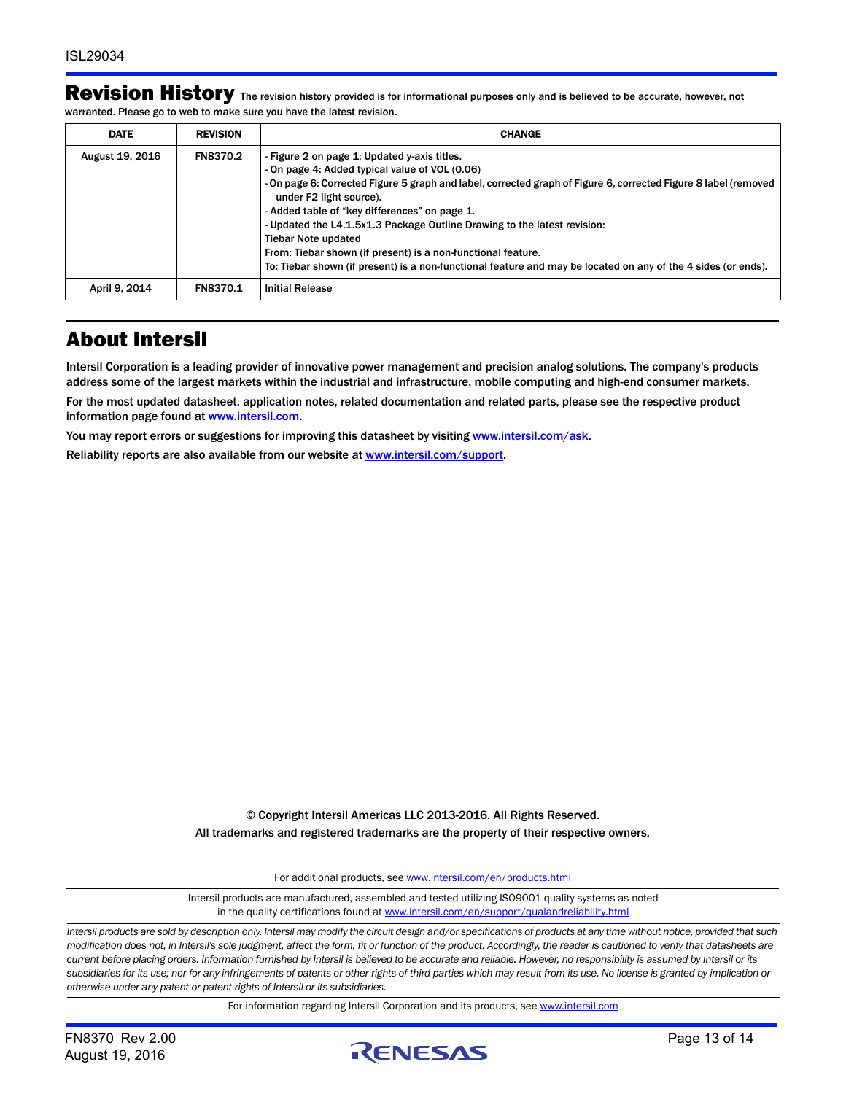|                                                                        | Revision History The revision history provided is for informational purposes only and is believed to be accurate, however, not |
|------------------------------------------------------------------------|--------------------------------------------------------------------------------------------------------------------------------|
| warranted. Please go to web to make sure you have the latest revision. |                                                                                                                                |

| <b>DATE</b>     | <b>REVISION</b> | <b>CHANGE</b>                                                                                                                                                                                                                                                                                                                                                                                                                                                                                                                                                                           |
|-----------------|-----------------|-----------------------------------------------------------------------------------------------------------------------------------------------------------------------------------------------------------------------------------------------------------------------------------------------------------------------------------------------------------------------------------------------------------------------------------------------------------------------------------------------------------------------------------------------------------------------------------------|
| August 19, 2016 | <b>FN8370.2</b> | - Figure 2 on page 1: Updated y-axis titles.<br>- On page 4: Added typical value of VOL (0.06)<br>-On page 6: Corrected Figure 5 graph and label, corrected graph of Figure 6, corrected Figure 8 label (removed<br>under F2 light source).<br>- Added table of "key differences" on page 1.<br>- Updated the L4.1.5x1.3 Package Outline Drawing to the latest revision:<br><b>Tiebar Note updated</b><br>From: Tiebar shown (if present) is a non-functional feature.<br>To: Tiebar shown (if present) is a non-functional feature and may be located on any of the 4 sides (or ends). |
| April 9, 2014   | FN8370.1        | <b>Initial Release</b>                                                                                                                                                                                                                                                                                                                                                                                                                                                                                                                                                                  |

# About Intersil

Intersil Corporation is a leading provider of innovative power management and precision analog solutions. The company's products address some of the largest markets within the industrial and infrastructure, mobile computing and high-end consumer markets. For the most updated datasheet, application notes, related documentation and related parts, please see the respective product information page found at [www.intersil.com.](http://www.intersil.com?utm_source=intersil&utm_medium=datasheet&utm_campaign=isl29034-ds-about)

You may report errors or suggestions for improving this datasheet by visiting [www.intersil.com/ask](http://www.intersil.com/en/support.html?OrganizationID=784358&p=createnewticket&p_href=http%3A%2F%2Fwww.intersil.com%2Fen%2Fsupport.html).

Reliability reports are also available from our website at [www.intersil.com/support](http://www.intersil.com/en/support/qualandreliability.html?utm_source=intersil&utm_medium=datasheet&utm_campaign=isl29034-ds-about#reliability).

© Copyright Intersil Americas LLC 2013-2016. All Rights Reserved. All trademarks and registered trademarks are the property of their respective owners.

For additional products, see [www.intersil.com/en/products.html](http://www.intersil.com/en/products.html?utm_source=Intersil&utm_medium=datasheet&utm_campaign=disclaimer-ds-footer)

[Intersil products are manufactured, assembled and tested utilizing ISO9001 quality systems as noted](http://www.intersil.com/en/products.html?utm_source=Intersil&utm_medium=datasheet&utm_campaign=disclaimer-ds-footer) in the quality certifications found at [www.intersil.com/en/support/qualandreliability.html](http://www.intersil.com/en/support/qualandreliability.html?utm_source=Intersil&utm_medium=datasheet&utm_campaign=disclaimer-ds-footer)

*Intersil products are sold by description only. Intersil may modify the circuit design and/or specifications of products at any time without notice, provided that such modification does not, in Intersil's sole judgment, affect the form, fit or function of the product. Accordingly, the reader is cautioned to verify that datasheets are current before placing orders. Information furnished by Intersil is believed to be accurate and reliable. However, no responsibility is assumed by Intersil or its subsidiaries for its use; nor for any infringements of patents or other rights of third parties which may result from its use. No license is granted by implication or otherwise under any patent or patent rights of Intersil or its subsidiaries.*

For information regarding Intersil Corporation and its products, see [www.intersil.com](http://www.intersil.com?utm_source=intersil&utm_medium=datasheet&utm_campaign=disclaimer-ds-footer)

August 19, 2016